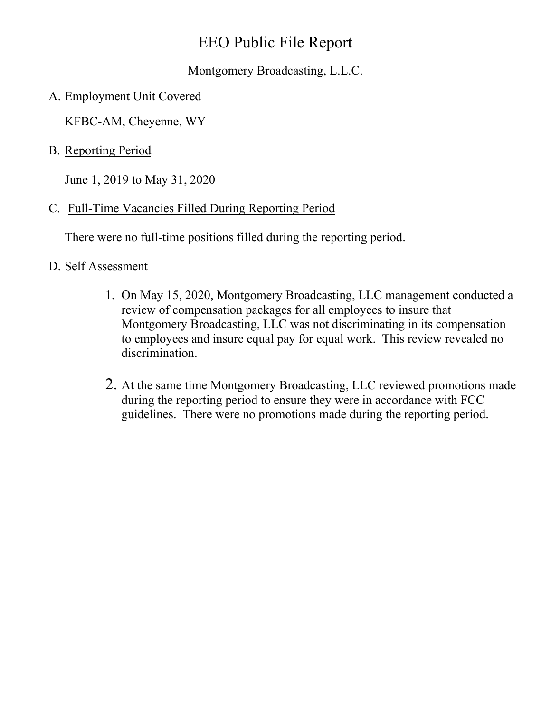## EEO Public File Report

Montgomery Broadcasting, L.L.C.

A. Employment Unit Covered

KFBC-AM, Cheyenne, WY

B. Reporting Period

June 1, 2019 to May 31, 2020

C. Full-Time Vacancies Filled During Reporting Period

There were no full-time positions filled during the reporting period.

## D. Self Assessment

- 1. On May 15, 2020, Montgomery Broadcasting, LLC management conducted a review of compensation packages for all employees to insure that Montgomery Broadcasting, LLC was not discriminating in its compensation to employees and insure equal pay for equal work. This review revealed no discrimination.
- 2. At the same time Montgomery Broadcasting, LLC reviewed promotions made during the reporting period to ensure they were in accordance with FCC guidelines. There were no promotions made during the reporting period.